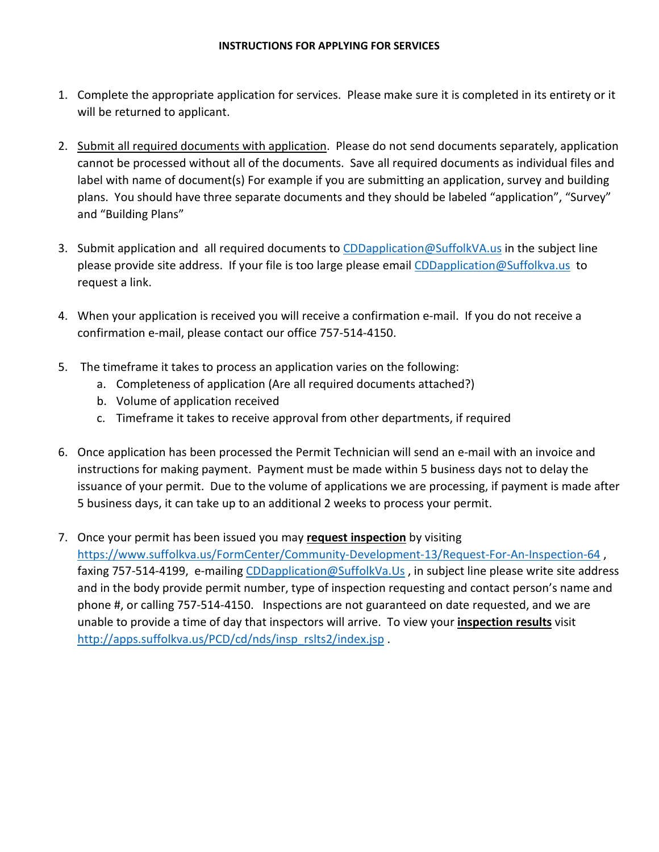- 1. Complete the appropriate application for services. Please make sure it is completed in its entirety or it will be returned to applicant.
- 2. Submit all required documents with application. Please do not send documents separately, application cannot be processed without all of the documents. Save all required documents as individual files and label with name of document(s) For example if you are submitting an application, survey and building plans. You should have three separate documents and they should be labeled "application", "Survey" and "Building Plans"
- 3. Submit application and all required documents to [CDDapplication@SuffolkVA.us](mailto:CDDapplication@SuffolkVA.us) in the subject line please provide site address. If your file is too large please email [CDDapplication@Suffolkva.us](mailto:CDDapplication@Suffolkva.us) to request a link.
- 4. When your application is received you will receive a confirmation e-mail. If you do not receive a confirmation e-mail, please contact our office 757-514-4150.
- 5. The timeframe it takes to process an application varies on the following:
	- a. Completeness of application (Are all required documents attached?)
	- b. Volume of application received
	- c. Timeframe it takes to receive approval from other departments, if required
- 6. Once application has been processed the Permit Technician will send an e-mail with an invoice and instructions for making payment. Payment must be made within 5 business days not to delay the issuance of your permit. Due to the volume of applications we are processing, if payment is made after 5 business days, it can take up to an additional 2 weeks to process your permit.
- 7. Once your permit has been issued you may **request inspection** by visiting <https://www.suffolkva.us/FormCenter/Community-Development-13/Request-For-An-Inspection-64>, faxing 757-514-4199, e-mailing [CDDapplication@SuffolkVa.Us](mailto:CDDapplication@SuffolkVa.Us), in subject line please write site address and in the body provide permit number, type of inspection requesting and contact person's name and phone #, or calling 757-514-4150. Inspections are not guaranteed on date requested, and we are unable to provide a time of day that inspectors will arrive. To view your **inspection results** visit [http://apps.suffolkva.us/PCD/cd/nds/insp\\_rslts2/index.jsp](http://apps.suffolkva.us/PCD/cd/nds/insp_rslts2/index.jsp).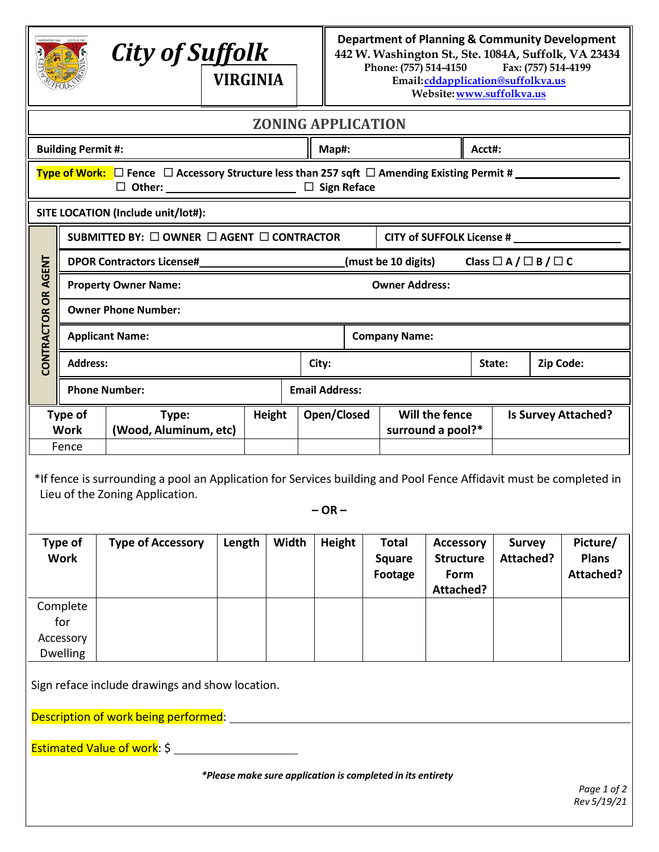| <b>NEWCHO ISAS SUFFOLK IN</b><br><b>City of Suffolk</b><br><b>VIRGINIA</b>                                                                                       |                      |                                                                         |        |                                                         |               | <b>Department of Planning &amp; Community Development</b><br>442 W. Washington St., Ste. 1084A, Suffolk, VA 23434<br>Phone: (757) 514-4150<br>Fax: (757) 514-4199<br>Email: cddapplication@suffolkva.us<br>Website: www.suffolkva.us |                      |                                          |                                                           |        |                            |           |                                       |  |
|------------------------------------------------------------------------------------------------------------------------------------------------------------------|----------------------|-------------------------------------------------------------------------|--------|---------------------------------------------------------|---------------|--------------------------------------------------------------------------------------------------------------------------------------------------------------------------------------------------------------------------------------|----------------------|------------------------------------------|-----------------------------------------------------------|--------|----------------------------|-----------|---------------------------------------|--|
| <b>ZONING APPLICATION</b>                                                                                                                                        |                      |                                                                         |        |                                                         |               |                                                                                                                                                                                                                                      |                      |                                          |                                                           |        |                            |           |                                       |  |
| <b>Building Permit #:</b>                                                                                                                                        |                      |                                                                         |        |                                                         |               |                                                                                                                                                                                                                                      | Map#:                |                                          |                                                           |        | Acct#:                     |           |                                       |  |
| <b>Type of Work:</b> $\Box$ Fence $\Box$ Accessory Structure less than 257 sqft $\Box$ Amending Existing Permit #<br>$\Box$ Other: $\Box$ Other: $\Box$ Other:   |                      |                                                                         |        |                                                         |               |                                                                                                                                                                                                                                      |                      |                                          |                                                           |        |                            |           |                                       |  |
| SITE LOCATION (Include unit/lot#):                                                                                                                               |                      |                                                                         |        |                                                         |               |                                                                                                                                                                                                                                      |                      |                                          |                                                           |        |                            |           |                                       |  |
|                                                                                                                                                                  |                      | SUBMITTED BY: □ OWNER □ AGENT □ CONTRACTOR<br>CITY of SUFFOLK License # |        |                                                         |               |                                                                                                                                                                                                                                      |                      |                                          |                                                           |        |                            |           |                                       |  |
|                                                                                                                                                                  |                      | <b>DPOR Contractors License#</b>                                        |        | Class $\Box A / \Box B / \Box C$<br>(must be 10 digits) |               |                                                                                                                                                                                                                                      |                      |                                          |                                                           |        |                            |           |                                       |  |
|                                                                                                                                                                  |                      | <b>Property Owner Name:</b><br><b>Owner Address:</b>                    |        |                                                         |               |                                                                                                                                                                                                                                      |                      |                                          |                                                           |        |                            |           |                                       |  |
|                                                                                                                                                                  |                      | <b>Owner Phone Number:</b>                                              |        |                                                         |               |                                                                                                                                                                                                                                      |                      |                                          |                                                           |        |                            |           |                                       |  |
|                                                                                                                                                                  |                      | <b>Applicant Name:</b>                                                  |        |                                                         |               |                                                                                                                                                                                                                                      | <b>Company Name:</b> |                                          |                                                           |        |                            |           |                                       |  |
| CONTRACTOR OR AGENT                                                                                                                                              | <b>Address:</b>      |                                                                         |        |                                                         |               | City:                                                                                                                                                                                                                                |                      |                                          |                                                           | State: |                            | Zip Code: |                                       |  |
|                                                                                                                                                                  | <b>Phone Number:</b> |                                                                         |        |                                                         |               | <b>Email Address:</b>                                                                                                                                                                                                                |                      |                                          |                                                           |        |                            |           |                                       |  |
|                                                                                                                                                                  | Type of              | Type:                                                                   |        |                                                         | <b>Height</b> |                                                                                                                                                                                                                                      |                      | Will the fence<br>Open/Closed            |                                                           |        | <b>Is Survey Attached?</b> |           |                                       |  |
| <b>Work</b><br>Fence                                                                                                                                             |                      | (Wood, Aluminum, etc)                                                   |        |                                                         |               |                                                                                                                                                                                                                                      |                      | surround a pool?*                        |                                                           |        |                            |           |                                       |  |
| *If fence is surrounding a pool an Application for Services building and Pool Fence Affidavit must be completed in<br>Lieu of the Zoning Application.<br>$-OR -$ |                      |                                                                         |        |                                                         |               |                                                                                                                                                                                                                                      |                      |                                          |                                                           |        |                            |           |                                       |  |
| Type of<br><b>Work</b>                                                                                                                                           |                      | <b>Type of Accessory</b>                                                | Length | Width                                                   |               | <b>Height</b>                                                                                                                                                                                                                        |                      | <b>Total</b><br><b>Square</b><br>Footage | <b>Accessory</b><br><b>Structure</b><br>Form<br>Attached? |        | <b>Survey</b><br>Attached? |           | Picture/<br><b>Plans</b><br>Attached? |  |
| Complete<br>for<br>Accessory<br><b>Dwelling</b>                                                                                                                  |                      |                                                                         |        |                                                         |               |                                                                                                                                                                                                                                      |                      |                                          |                                                           |        |                            |           |                                       |  |
| Sign reface include drawings and show location.<br>Description of work being performed:                                                                          |                      |                                                                         |        |                                                         |               |                                                                                                                                                                                                                                      |                      |                                          |                                                           |        |                            |           |                                       |  |
| Estimated Value of work: \$                                                                                                                                      |                      |                                                                         |        |                                                         |               |                                                                                                                                                                                                                                      |                      |                                          |                                                           |        |                            |           |                                       |  |
| *Please make sure application is completed in its entirety<br>Page 1 of 2<br>Rev 5/19/21                                                                         |                      |                                                                         |        |                                                         |               |                                                                                                                                                                                                                                      |                      |                                          |                                                           |        |                            |           |                                       |  |